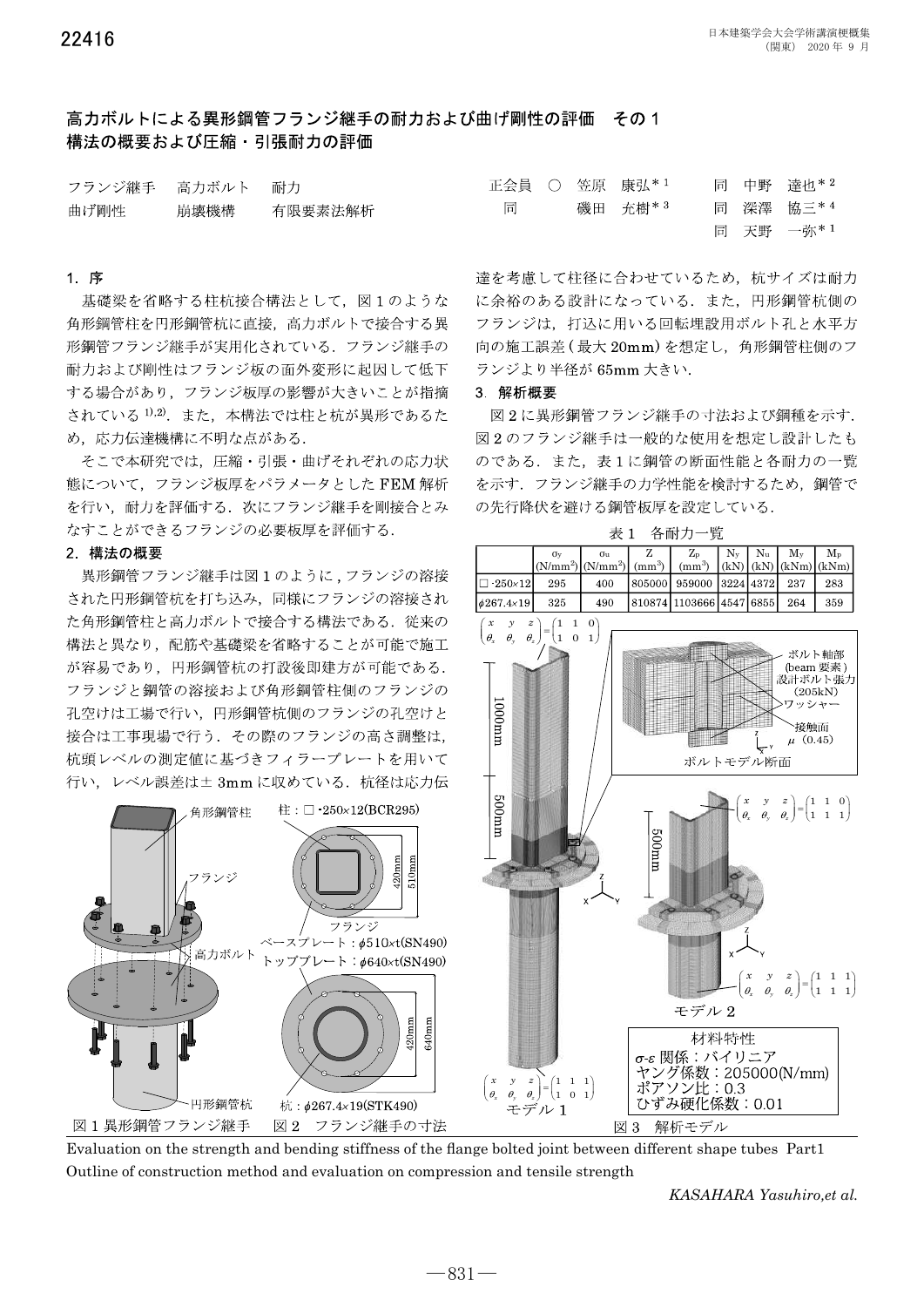達也 \* 2

## 高カボルトによる異形綱管フランジ継手の耐カおよび曲げ剛性の評価 その1 構法の概要および圧縮·引張耐力の評価

| フランジ継手 | 高力ボルト | 耐力      |
|--------|-------|---------|
| 曲げ剛性   | 崩壊機構  | 有限要素法解析 |

### 1 序

基礎梁を省略する柱杭接合構法として、図1のような 角形鋼管柱を円形鋼管杭に直接、高力ボルトで接合する異 形鋼管フランジ継手が実用化されている. フランジ継手の 耐力および剛性はフランジ板の面外変形に起因して低下 する場合があり、フランジ板厚の影響が大きいことが指摘 されている 1),2). また、本構法では柱と杭が異形であるた め、応力伝達機構に不明な点がある.

そこで本研究では、圧縮・引張・曲げそれぞれの応力状 態について、フランジ板厚をパラメータとした FEM 解析 を行い、耐力を評価する. 次にフランジ継手を剛接合とみ なすことができるフランジの必要板厚を評価する.

### 2 構法の概要

異形鋼管フランジ継手は図1のように、フランジの溶接 された円形鋼管杭を打ち込み、同様にフランジの溶接され た角形鋼管柱と高力ボルトで接合する構法である. 従来の 構法と異なり、配筋や基礎梁を省略することが可能で施工 が容易であり、円形鋼管杭の打設後即建方が可能である. フランジと鋼管の溶接および角形鋼管柱側のフランジの 孔空けは工場で行い、円形鋼管杭側のフランジの孔空けと 接合は工事現場で行う. その際のフランジの高さ調整は, 杭頭レベルの測定値に基づきフィラープレートを用いて 行い、レベル誤差は±3mmに収めている. 杭径は応力伝



同

中野

正会員 ○ 笠原 康弘\*1



Evaluation on the strength and bending stiffness of the flange bolted joint between different shape tubes Part1 Outline of construction method and evaluation on compression and tensile strength

KASAHARA Yasuhiro,et al.